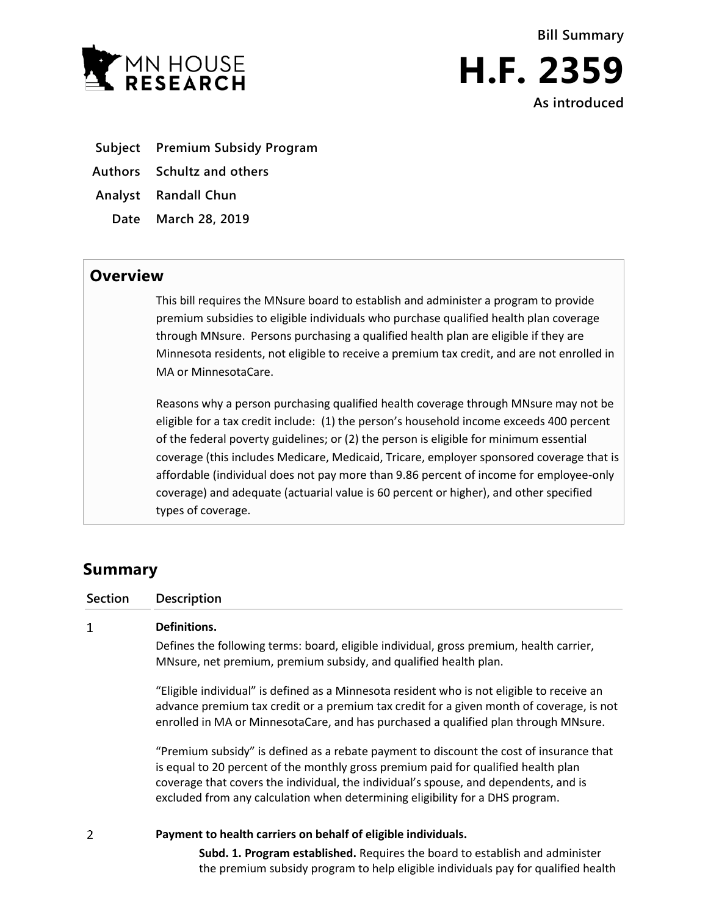



**As introduced**

- **Subject Premium Subsidy Program**
- **Authors Schultz and others**
- **Analyst Randall Chun**
	- **Date March 28, 2019**

## **Overview**

This bill requires the MNsure board to establish and administer a program to provide premium subsidies to eligible individuals who purchase qualified health plan coverage through MNsure. Persons purchasing a qualified health plan are eligible if they are Minnesota residents, not eligible to receive a premium tax credit, and are not enrolled in MA or MinnesotaCare.

Reasons why a person purchasing qualified health coverage through MNsure may not be eligible for a tax credit include: (1) the person's household income exceeds 400 percent of the federal poverty guidelines; or (2) the person is eligible for minimum essential coverage (this includes Medicare, Medicaid, Tricare, employer sponsored coverage that is affordable (individual does not pay more than 9.86 percent of income for employee-only coverage) and adequate (actuarial value is 60 percent or higher), and other specified types of coverage.

# **Summary**

**Section Description**

#### $\mathbf{1}$ **Definitions.**

Defines the following terms: board, eligible individual, gross premium, health carrier, MNsure, net premium, premium subsidy, and qualified health plan.

"Eligible individual" is defined as a Minnesota resident who is not eligible to receive an advance premium tax credit or a premium tax credit for a given month of coverage, is not enrolled in MA or MinnesotaCare, and has purchased a qualified plan through MNsure.

"Premium subsidy" is defined as a rebate payment to discount the cost of insurance that is equal to 20 percent of the monthly gross premium paid for qualified health plan coverage that covers the individual, the individual's spouse, and dependents, and is excluded from any calculation when determining eligibility for a DHS program.

 $\overline{2}$ 

### **Payment to health carriers on behalf of eligible individuals.**

**Subd. 1. Program established.** Requires the board to establish and administer the premium subsidy program to help eligible individuals pay for qualified health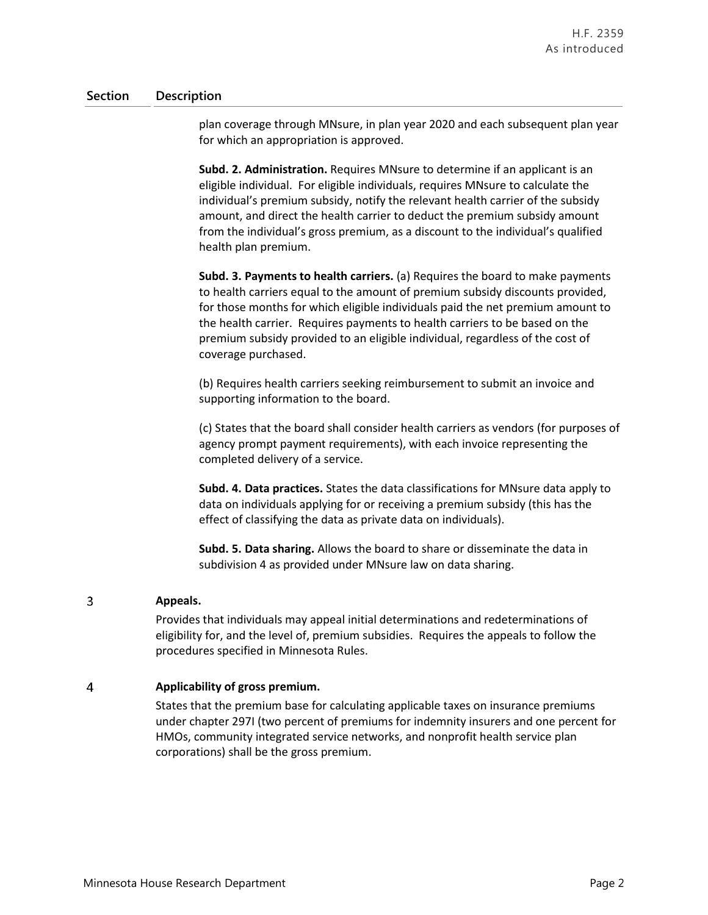### **Section Description**

plan coverage through MNsure, in plan year 2020 and each subsequent plan year for which an appropriation is approved.

**Subd. 2. Administration.** Requires MNsure to determine if an applicant is an eligible individual. For eligible individuals, requires MNsure to calculate the individual's premium subsidy, notify the relevant health carrier of the subsidy amount, and direct the health carrier to deduct the premium subsidy amount from the individual's gross premium, as a discount to the individual's qualified health plan premium.

**Subd. 3. Payments to health carriers.** (a) Requires the board to make payments to health carriers equal to the amount of premium subsidy discounts provided, for those months for which eligible individuals paid the net premium amount to the health carrier. Requires payments to health carriers to be based on the premium subsidy provided to an eligible individual, regardless of the cost of coverage purchased.

(b) Requires health carriers seeking reimbursement to submit an invoice and supporting information to the board.

(c) States that the board shall consider health carriers as vendors (for purposes of agency prompt payment requirements), with each invoice representing the completed delivery of a service.

**Subd. 4. Data practices.** States the data classifications for MNsure data apply to data on individuals applying for or receiving a premium subsidy (this has the effect of classifying the data as private data on individuals).

**Subd. 5. Data sharing.** Allows the board to share or disseminate the data in subdivision 4 as provided under MNsure law on data sharing.

#### $\overline{3}$ **Appeals.**

Provides that individuals may appeal initial determinations and redeterminations of eligibility for, and the level of, premium subsidies. Requires the appeals to follow the procedures specified in Minnesota Rules.

#### $\overline{4}$ **Applicability of gross premium.**

States that the premium base for calculating applicable taxes on insurance premiums under chapter 297I (two percent of premiums for indemnity insurers and one percent for HMOs, community integrated service networks, and nonprofit health service plan corporations) shall be the gross premium.